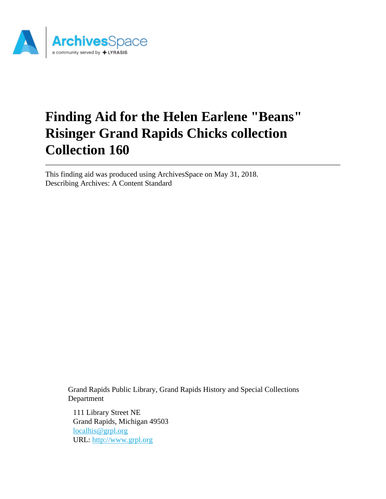

# **Finding Aid for the Helen Earlene "Beans" Risinger Grand Rapids Chicks collection Collection 160**

This finding aid was produced using ArchivesSpace on May 31, 2018. Describing Archives: A Content Standard

> Grand Rapids Public Library, Grand Rapids History and Special Collections Department

111 Library Street NE Grand Rapids, Michigan 49503 [localhis@grpl.org](mailto:localhis@grpl.org) URL:<http://www.grpl.org>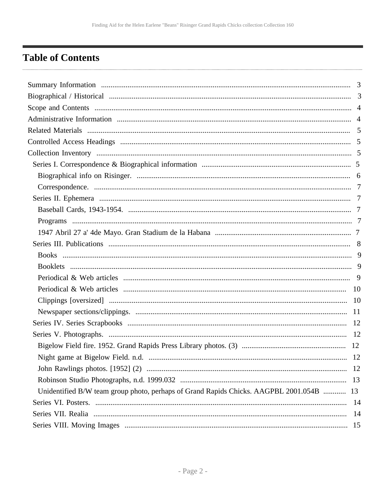## <span id="page-1-0"></span>**Table of Contents**

|                                                                                         | 12 |
|-----------------------------------------------------------------------------------------|----|
|                                                                                         |    |
|                                                                                         |    |
| Unidentified B/W team group photo, perhaps of Grand Rapids Chicks. AAGPBL 2001.054B  13 |    |
|                                                                                         |    |
|                                                                                         |    |
|                                                                                         |    |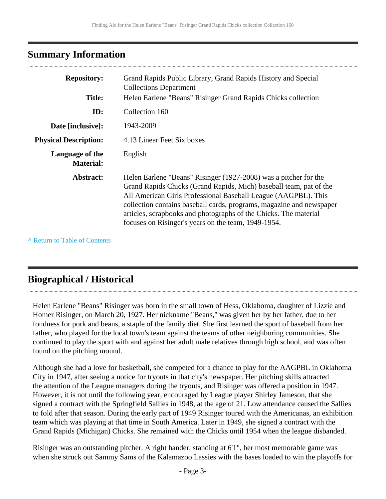## <span id="page-2-0"></span>**Summary Information**

| <b>Repository:</b><br><b>Title:</b> | Grand Rapids Public Library, Grand Rapids History and Special<br><b>Collections Department</b><br>Helen Earlene "Beans" Risinger Grand Rapids Chicks collection                                                                                                                                                                                                                                             |
|-------------------------------------|-------------------------------------------------------------------------------------------------------------------------------------------------------------------------------------------------------------------------------------------------------------------------------------------------------------------------------------------------------------------------------------------------------------|
| ID:                                 | Collection 160                                                                                                                                                                                                                                                                                                                                                                                              |
| Date [inclusive]:                   | 1943-2009                                                                                                                                                                                                                                                                                                                                                                                                   |
| <b>Physical Description:</b>        | 4.13 Linear Feet Six boxes                                                                                                                                                                                                                                                                                                                                                                                  |
| Language of the<br><b>Material:</b> | English                                                                                                                                                                                                                                                                                                                                                                                                     |
| Abstract:                           | Helen Earlene "Beans" Risinger (1927-2008) was a pitcher for the<br>Grand Rapids Chicks (Grand Rapids, Mich) baseball team, pat of the<br>All American Girls Professional Baseball League (AAGPBL). This<br>collection contains baseball cards, programs, magazine and newspaper<br>articles, scrapbooks and photographs of the Chicks. The material<br>focuses on Risinger's years on the team, 1949-1954. |

**^** [Return to Table of Contents](#page-1-0)

## <span id="page-2-1"></span>**Biographical / Historical**

Helen Earlene "Beans" Risinger was born in the small town of Hess, Oklahoma, daughter of Lizzie and Homer Risinger, on March 20, 1927. Her nickname "Beans," was given her by her father, due to her fondness for pork and beans, a staple of the family diet. She first learned the sport of baseball from her father, who played for the local town's team against the teams of other neighboring communities. She continued to play the sport with and against her adult male relatives through high school, and was often found on the pitching mound.

Although she had a love for basketball, she competed for a chance to play for the AAGPBL in Oklahoma City in 1947, after seeing a notice for tryouts in that city's newspaper. Her pitching skills attracted the attention of the League managers during the tryouts, and Risinger was offered a position in 1947. However, it is not until the following year, encouraged by League player Shirley Jameson, that she signed a contract with the Springfield Sallies in 1948, at the age of 21. Low attendance caused the Sallies to fold after that season. During the early part of 1949 Risinger toured with the Americanas, an exhibition team which was playing at that time in South America. Later in 1949, she signed a contract with the Grand Rapids (Michigan) Chicks. She remained with the Chicks until 1954 when the league disbanded.

Risinger was an outstanding pitcher. A right hander, standing at 6'1", her most memorable game was when she struck out Sammy Sams of the Kalamazoo Lassies with the bases loaded to win the playoffs for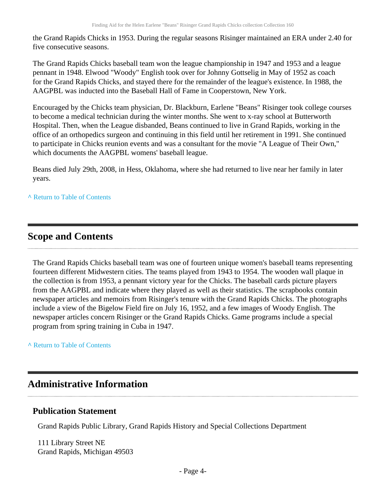the Grand Rapids Chicks in 1953. During the regular seasons Risinger maintained an ERA under 2.40 for five consecutive seasons.

The Grand Rapids Chicks baseball team won the league championship in 1947 and 1953 and a league pennant in 1948. Elwood "Woody" English took over for Johnny Gottselig in May of 1952 as coach for the Grand Rapids Chicks, and stayed there for the remainder of the league's existence. In 1988, the AAGPBL was inducted into the Baseball Hall of Fame in Cooperstown, New York.

Encouraged by the Chicks team physician, Dr. Blackburn, Earlene "Beans" Risinger took college courses to become a medical technician during the winter months. She went to x-ray school at Butterworth Hospital. Then, when the League disbanded, Beans continued to live in Grand Rapids, working in the office of an orthopedics surgeon and continuing in this field until her retirement in 1991. She continued to participate in Chicks reunion events and was a consultant for the movie "A League of Their Own," which documents the AAGPBL womens' baseball league.

Beans died July 29th, 2008, in Hess, Oklahoma, where she had returned to live near her family in later years.

**^** [Return to Table of Contents](#page-1-0)

## <span id="page-3-0"></span>**Scope and Contents**

The Grand Rapids Chicks baseball team was one of fourteen unique women's baseball teams representing fourteen different Midwestern cities. The teams played from 1943 to 1954. The wooden wall plaque in the collection is from 1953, a pennant victory year for the Chicks. The baseball cards picture players from the AAGPBL and indicate where they played as well as their statistics. The scrapbooks contain newspaper articles and memoirs from Risinger's tenure with the Grand Rapids Chicks. The photographs include a view of the Bigelow Field fire on July 16, 1952, and a few images of Woody English. The newspaper articles concern Risinger or the Grand Rapids Chicks. Game programs include a special program from spring training in Cuba in 1947.

**^** [Return to Table of Contents](#page-1-0)

## <span id="page-3-1"></span>**Administrative Information**

#### **Publication Statement**

Grand Rapids Public Library, Grand Rapids History and Special Collections Department

111 Library Street NE Grand Rapids, Michigan 49503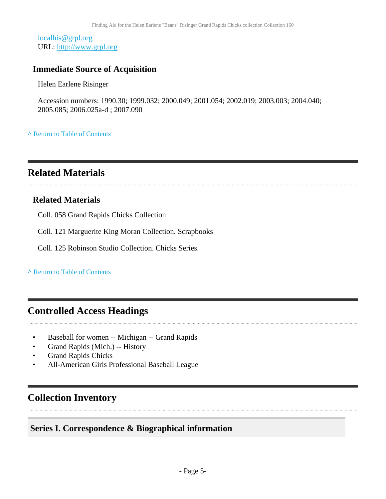[localhis@grpl.org](mailto:localhis@grpl.org) URL:<http://www.grpl.org>

### **Immediate Source of Acquisition**

Helen Earlene Risinger

Accession numbers: 1990.30; 1999.032; 2000.049; 2001.054; 2002.019; 2003.003; 2004.040; 2005.085; 2006.025a-d ; 2007.090

**^** [Return to Table of Contents](#page-1-0)

## <span id="page-4-0"></span>**Related Materials**

#### **Related Materials**

Coll. 058 Grand Rapids Chicks Collection

Coll. 121 Marguerite King Moran Collection. Scrapbooks

Coll. 125 Robinson Studio Collection. Chicks Series.

**^** [Return to Table of Contents](#page-1-0)

## <span id="page-4-1"></span>**Controlled Access Headings**

- Baseball for women -- Michigan -- Grand Rapids
- Grand Rapids (Mich.) -- History
- Grand Rapids Chicks
- All-American Girls Professional Baseball League

## <span id="page-4-2"></span>**Collection Inventory**

## <span id="page-4-3"></span>**Series I. Correspondence & Biographical information**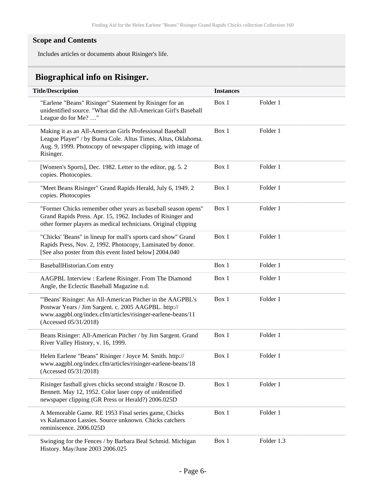#### **Scope and Contents**

Includes articles or documents about Risinger's life.

## <span id="page-5-0"></span>**Biographical info on Risinger.**

| <b>Title/Description</b>                                                                                                                                                                                   | <b>Instances</b> |            |
|------------------------------------------------------------------------------------------------------------------------------------------------------------------------------------------------------------|------------------|------------|
| "Earlene "Beans" Risinger" Statement by Risinger for an<br>unidentified source. "What did the All-American Girl's Baseball<br>League do for Me? "                                                          | Box 1            | Folder 1   |
| Making it as an All-American Girls Professional Baseball<br>League Player" / by Burna Cole. Altus Times, Altus, Oklahoma.<br>Aug. 9, 1999. Photocopy of newspaper clipping, with image of<br>Risinger.     | Box 1            | Folder 1   |
| [Women's Sports], Dec. 1982. Letter to the editor, pg. 5.2<br>copies. Photocopies.                                                                                                                         | Box 1            | Folder 1   |
| "Meet Beans Risinger" Grand Rapids Herald, July 6, 1949. 2<br>copies. Photocopies                                                                                                                          | Box 1            | Folder 1   |
| "Former Chicks remember other years as baseball season opens"<br>Grand Rapids Press. Apr. 15, 1962. Includes of Risinger and<br>other former players as medical technicians. Original clipping             | Box 1            | Folder 1   |
| "Chicks' 'Beans" in lineup for mall's sports card show" Grand<br>Rapids Press, Nov. 2, 1992. Photocopy, Laminated by donor.<br>[See also poster from this event listed below] 2004.040                     | Box 1            | Folder 1   |
| BaseballHistorian.Com entry                                                                                                                                                                                | Box 1            | Folder 1   |
| AAGPBL Interview : Earlene Risinger. From The Diamond<br>Angle, the Eclectic Baseball Magazine n.d.                                                                                                        | Box 1            | Folder 1   |
| "'Beans' Risinger: An All-American Pitcher in the AAGPBL's<br>Postwar Years / Jim Sargent. c. 2005 AAGPBL. http://<br>www.aagpbl.org/index.cfm/articles/risinger-earlene-beans/11<br>(Accessed 05/31/2018) | Box 1            | Folder 1   |
| Beans Risinger: All-American Pitcher / by Jim Sargent. Grand<br>River Valley History, v. 16, 1999.                                                                                                         | Box 1            | Folder 1   |
| Helen Earlene "Beans" Risinger / Joyce M. Smith. http://<br>www.aagpbl.org/index.cfm/articles/risinger-earlene-beans/18<br>(Accessed 05/31/2018)                                                           | Box 1            | Folder 1   |
| Risinger fastball gives chicks second straight / Roscoe D.<br>Bennett. May 12, 1952. Color laser copy of unidentified<br>newspaper clipping (GR Press or Herald?) 2006.025D                                | Box 1            | Folder 1   |
| A Memorable Game. RE 1953 Final series game, Chicks<br>vs Kalamazoo Lassies. Source unknown. Chicks catchers<br>reminiscence. 2006.025D                                                                    | Box 1            | Folder 1   |
| Swinging for the Fences / by Barbara Beal Schmid. Michigan<br>History. May/June 2003 2006.025                                                                                                              | Box 1            | Folder 1.3 |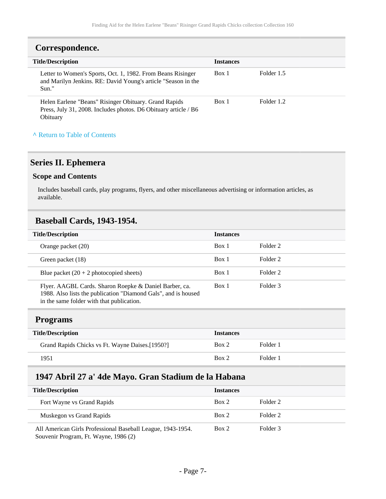<span id="page-6-0"></span>

| <b>Title/Description</b>                                                                                                              | <b>Instances</b> |            |  |
|---------------------------------------------------------------------------------------------------------------------------------------|------------------|------------|--|
| Letter to Women's Sports, Oct. 1, 1982. From Beans Risinger<br>and Marilyn Jenkins. RE: David Young's article "Season in the<br>Sun." | Box 1            | Folder 1.5 |  |
| Helen Earlene "Beans" Risinger Obituary. Grand Rapids<br>Press, July 31, 2008. Includes photos. D6 Obituary article / B6<br>Obituary  | Box 1            | Folder 1.2 |  |

## <span id="page-6-1"></span>**Series II. Ephemera**

#### **Scope and Contents**

Includes baseball cards, play programs, flyers, and other miscellaneous advertising or information articles, as available.

#### <span id="page-6-2"></span>**Baseball Cards, 1943-1954.**

| <b>Title/Description</b>                                                                                                                                              | <b>Instances</b> |          |
|-----------------------------------------------------------------------------------------------------------------------------------------------------------------------|------------------|----------|
| Orange packet (20)                                                                                                                                                    | Box 1            | Folder 2 |
| Green packet (18)                                                                                                                                                     | Box 1            | Folder 2 |
| Blue packet $(20 + 2 \text{ photocopied sheets})$                                                                                                                     | Box 1            | Folder 2 |
| Flyer. AAGBL Cards. Sharon Roepke & Daniel Barber, ca.<br>1988. Also lists the publication "Diamond Gals", and is housed<br>in the same folder with that publication. | Box 1            | Folder 3 |

#### <span id="page-6-3"></span>**Programs**

| <b>Title/Description</b>                        | <b>Instances</b> |          |
|-------------------------------------------------|------------------|----------|
| Grand Rapids Chicks vs Ft. Wayne Daises.[1950?] | Box 2            | Folder 1 |
| 1951                                            | Box 2            | Folder 1 |

## <span id="page-6-4"></span>**1947 Abril 27 a' 4de Mayo. Gran Stadium de la Habana**

| <b>Title/Description</b>                                                                             | <b>Instances</b> |          |
|------------------------------------------------------------------------------------------------------|------------------|----------|
| Fort Wayne vs Grand Rapids                                                                           | Box 2            | Folder 2 |
| Muskegon vs Grand Rapids                                                                             | Box 2            | Folder 2 |
| All American Girls Professional Baseball League, 1943-1954.<br>Souvenir Program, Ft. Wayne, 1986 (2) | Box 2            | Folder 3 |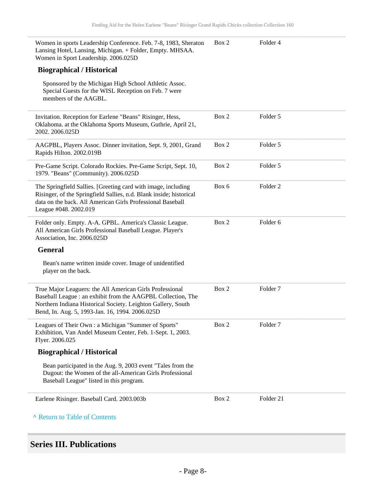| Women in sports Leadership Conference. Feb. 7-8, 1983, Sheraton<br>Lansing Hotel, Lansing, Michigan. + Folder, Empty. MHSAA.<br>Women in Sport Leadership. 2006.025D                                                                        | Box 2 | Folder 4            |
|---------------------------------------------------------------------------------------------------------------------------------------------------------------------------------------------------------------------------------------------|-------|---------------------|
| <b>Biographical / Historical</b>                                                                                                                                                                                                            |       |                     |
| Sponsored by the Michigan High School Athletic Assoc.<br>Special Guests for the WISL Reception on Feb. 7 were<br>members of the AAGBL.                                                                                                      |       |                     |
| Invitation. Reception for Earlene "Beans" Risinger, Hess,<br>Oklahoma. at the Oklahoma Sports Museum, Guthrie, April 21,<br>2002. 2006.025D                                                                                                 | Box 2 | Folder 5            |
| AAGPBL, Players Assoc. Dinner invitation, Sept. 9, 2001, Grand<br>Rapids Hilton. 2002.019B                                                                                                                                                  | Box 2 | Folder 5            |
| Pre-Game Script. Colorado Rockies. Pre-Game Script, Sept. 10,<br>1979. "Beans" (Community). 2006.025D                                                                                                                                       | Box 2 | Folder 5            |
| The Springfield Sallies. [Greeting card with image, including<br>Risinger, of the Springfield Sallies, n.d. Blank inside; historical<br>data on the back. All American Girls Professional Baseball<br>League #048. 2002.019                 | Box 6 | Folder <sub>2</sub> |
| Folder only. Empty. A-A. GPBL. America's Classic League.<br>All American Girls Professional Baseball League. Player's<br>Association, Inc. 2006.025D                                                                                        | Box 2 | Folder 6            |
| <b>General</b>                                                                                                                                                                                                                              |       |                     |
| Bean's name written inside cover. Image of unidentified<br>player on the back.                                                                                                                                                              |       |                     |
| True Major Leaguers: the All American Girls Professional<br>Baseball League : an exhibit from the AAGPBL Collection, The<br>Northern Indiana Historical Society. Leighton Gallery, South<br>Bend, In. Aug. 5, 1993-Jan. 16, 1994. 2006.025D | Box 2 | Folder <sub>7</sub> |
| Leagues of Their Own : a Michigan "Summer of Sports"<br>Exhibition, Van Andel Museum Center, Feb. 1-Sept. 1, 2003.<br>Flyer. 2006.025                                                                                                       | Box 2 | Folder <sub>7</sub> |
| <b>Biographical / Historical</b>                                                                                                                                                                                                            |       |                     |
| Bean participated in the Aug. 9, 2003 event "Tales from the<br>Dugout: the Women of the all-American Girls Professional<br>Baseball League" listed in this program.                                                                         |       |                     |
| Earlene Risinger. Baseball Card. 2003.003b                                                                                                                                                                                                  | Box 2 | Folder 21           |
| A Return to Table of Contents                                                                                                                                                                                                               |       |                     |

## <span id="page-7-0"></span>**Series III. Publications**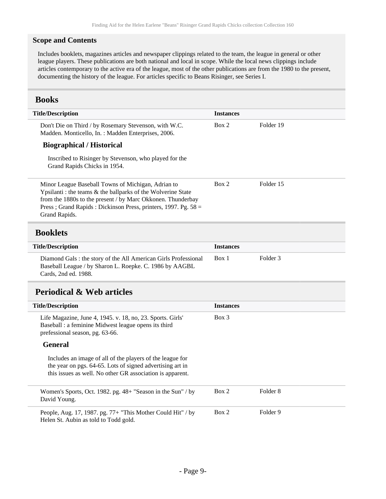#### **Scope and Contents**

Includes booklets, magazines articles and newspaper clippings related to the team, the league in general or other league players. These publications are both national and local in scope. While the local news clippings include articles contemporary to the active era of the league, most of the other publications are from the 1980 to the present, documenting the history of the league. For articles specific to Beans Risinger, see Series I.

#### <span id="page-8-0"></span>**Books**

<span id="page-8-2"></span><span id="page-8-1"></span>

| <b>Title/Description</b>                                                                                                                                                                                                                                             | <b>Instances</b> |                     |
|----------------------------------------------------------------------------------------------------------------------------------------------------------------------------------------------------------------------------------------------------------------------|------------------|---------------------|
| Don't Die on Third / by Rosemary Stevenson, with W.C.<br>Madden. Monticello, In. : Madden Enterprises, 2006.                                                                                                                                                         | Box 2            | Folder 19           |
| <b>Biographical / Historical</b>                                                                                                                                                                                                                                     |                  |                     |
| Inscribed to Risinger by Stevenson, who played for the<br>Grand Rapids Chicks in 1954.                                                                                                                                                                               |                  |                     |
| Minor League Baseball Towns of Michigan, Adrian to<br>Ypsilanti : the teams & the ballparks of the Wolverine State<br>from the 1880s to the present / by Marc Okkonen. Thunderbay<br>Press; Grand Rapids: Dickinson Press, printers, 1997. Pg. 58 =<br>Grand Rapids. | Box 2            | Folder 15           |
| <b>Booklets</b>                                                                                                                                                                                                                                                      |                  |                     |
| <b>Title/Description</b>                                                                                                                                                                                                                                             | <b>Instances</b> |                     |
| Diamond Gals : the story of the All American Girls Professional<br>Baseball League / by Sharon L. Roepke. C. 1986 by AAGBL<br>Cards, 2nd ed. 1988.                                                                                                                   | Box 1            | Folder <sub>3</sub> |
| <b>Periodical &amp; Web articles</b>                                                                                                                                                                                                                                 |                  |                     |
| <b>Title/Description</b>                                                                                                                                                                                                                                             | <b>Instances</b> |                     |
| Life Magazine, June 4, 1945. v. 18, no, 23. Sports. Girls'<br>Baseball : a feminine Midwest league opens its third<br>prefessional season, pg. 63-66.                                                                                                                | $Box$ 3          |                     |
| <b>General</b>                                                                                                                                                                                                                                                       |                  |                     |
| Includes an image of all of the players of the league for<br>the year on pgs. 64-65. Lots of signed advertising art in<br>this issues as well. No other GR association is apparent.                                                                                  |                  |                     |
| Women's Sports, Oct. 1982. pg. 48+ "Season in the Sun" / by<br>David Young.                                                                                                                                                                                          | Box 2            | Folder <sub>8</sub> |
| People, Aug. 17, 1987. pg. 77+ "This Mother Could Hit" / by<br>Helen St. Aubin as told to Todd gold.                                                                                                                                                                 | Box 2            | Folder 9            |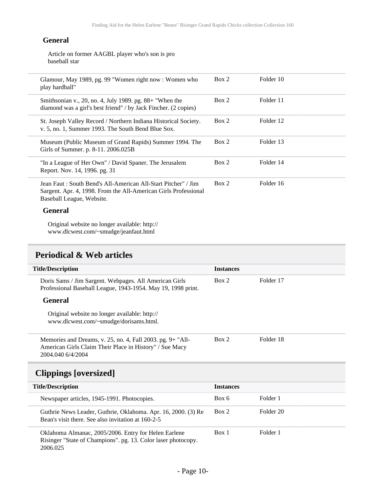#### **General**

Article on former AAGBL player who's son is pro baseball star

| Glamour, May 1989, pg. 99 "Women right now: Women who<br>play hardball"                                                                                        | Box 2 | Folder 10 |
|----------------------------------------------------------------------------------------------------------------------------------------------------------------|-------|-----------|
| Smithsonian v., 20, no. 4, July 1989. pg. 88+ "When the<br>diamond was a girl's best friend" / by Jack Fincher. (2 copies)                                     | Box 2 | Folder 11 |
| St. Joseph Valley Record / Northern Indiana Historical Society.<br>v. 5, no. 1, Summer 1993. The South Bend Blue Sox.                                          | Box 2 | Folder 12 |
| Museum (Public Museum of Grand Rapids) Summer 1994. The<br>Girls of Summer. p. 8-11. 2006.025B                                                                 | Box 2 | Folder 13 |
| "In a League of Her Own" / David Spaner. The Jerusalem<br>Report. Nov. 14, 1996. pg. 31                                                                        | Box 2 | Folder 14 |
| Jean Faut : South Bend's All-American All-Start Pitcher" / Jim<br>Sargent. Apr. 4, 1998. From the All-American Girls Professional<br>Baseball League, Website. | Box 2 | Folder 16 |
| General                                                                                                                                                        |       |           |

Original website no longer available: http:// www.dlcwest.com/~smudge/jeanfaut.html

## <span id="page-9-0"></span>**Periodical & Web articles**

<span id="page-9-1"></span>Ī

| <b>Title/Description</b>                                                                                                                   | <b>Instances</b> |           |
|--------------------------------------------------------------------------------------------------------------------------------------------|------------------|-----------|
| Doris Sams / Jim Sargent. Webpages. All American Girls<br>Professional Baseball League, 1943-1954. May 19, 1998 print.                     | Box 2            | Folder 17 |
| <b>General</b>                                                                                                                             |                  |           |
| Original website no longer available: http://<br>www.dlcwest.com/~smudge/dorisams.html.                                                    |                  |           |
| Memories and Dreams, v. 25, no. 4, Fall 2003. pg. 9+ "All-<br>American Girls Claim Their Place in History" / Sue Macy<br>2004.040 6/4/2004 | Box 2            | Folder 18 |
| <b>Clippings</b> [oversized]                                                                                                               |                  |           |
| <b>Title/Description</b>                                                                                                                   | <b>Instances</b> |           |
| Newspaper articles, 1945-1991. Photocopies.                                                                                                | Box 6            | Folder 1  |
| Guthrie News Leader, Guthrie, Oklahoma. Apr. 16, 2000. (3) Re<br>Bean's visit there. See also invitation at 160-2-5                        | Box 2            | Folder 20 |
| Oklahoma Almanac, 2005/2006. Entry for Helen Earlene<br>Risinger "State of Champions". pg. 13. Color laser photocopy.<br>2006.025          | Box 1            | Folder 1  |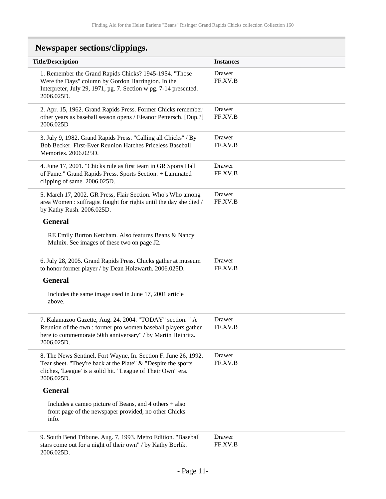<span id="page-10-0"></span>

| <b>Newspaper sections/clippings.</b>                                                                                                                                                                           |                   |
|----------------------------------------------------------------------------------------------------------------------------------------------------------------------------------------------------------------|-------------------|
| <b>Title/Description</b>                                                                                                                                                                                       | <b>Instances</b>  |
| 1. Remember the Grand Rapids Chicks? 1945-1954. "Those<br>Were the Days" column by Gordon Harrington. In the<br>Interpreter, July 29, 1971, pg. 7. Section w pg. 7-14 presented.<br>2006.025D.                 | Drawer<br>FF.XV.B |
| 2. Apr. 15, 1962. Grand Rapids Press. Former Chicks remember<br>other years as baseball season opens / Eleanor Pettersch. [Dup.?]<br>2006.025D                                                                 | Drawer<br>FF.XV.B |
| 3. July 9, 1982. Grand Rapids Press. "Calling all Chicks" / By<br>Bob Becker. First-Ever Reunion Hatches Priceless Baseball<br>Memories. 2006.025D.                                                            | Drawer<br>FF.XV.B |
| 4. June 17, 2001. "Chicks rule as first team in GR Sports Hall<br>of Fame." Grand Rapids Press. Sports Section. + Laminated<br>clipping of same. 2006.025D.                                                    | Drawer<br>FF.XV.B |
| 5. March 17, 2002. GR Press, Flair Section. Who's Who among<br>area Women: suffragist fought for rights until the day she died /<br>by Kathy Rush. 2006.025D.                                                  | Drawer<br>FF.XV.B |
| <b>General</b>                                                                                                                                                                                                 |                   |
| RE Emily Burton Ketcham. Also features Beans & Nancy<br>Mulnix. See images of these two on page J2.                                                                                                            |                   |
| 6. July 28, 2005. Grand Rapids Press. Chicks gather at museum<br>to honor former player / by Dean Holzwarth. 2006.025D.                                                                                        | Drawer<br>FF.XV.B |
| <b>General</b>                                                                                                                                                                                                 |                   |
| Includes the same image used in June 17, 2001 article<br>above.                                                                                                                                                |                   |
| 7. Kalamazoo Gazette, Aug. 24, 2004. "TODAY" section. " A<br>Reunion of the own : former pro women baseball players gather<br>here to commemorate 50th anniversary" / by Martin Heinritz.<br>2006.025D.        | Drawer<br>FF.XV.B |
| 8. The News Sentinel, Fort Wayne, In. Section F. June 26, 1992.<br>Tear sheet. "They're back at the Plate" & "Despite the sports<br>cliches, 'League' is a solid hit. "League of Their Own" era.<br>2006.025D. | Drawer<br>FF.XV.B |
| <b>General</b>                                                                                                                                                                                                 |                   |
| Includes a cameo picture of Beans, and $4$ others $+$ also<br>front page of the newspaper provided, no other Chicks<br>info.                                                                                   |                   |
| 9. South Bend Tribune. Aug. 7, 1993. Metro Edition. "Baseball<br>stars come out for a night of their own" / by Kathy Borlik.<br>2006.025D.                                                                     | Drawer<br>FF.XV.B |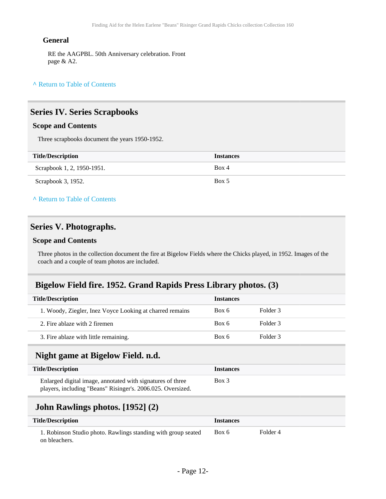#### **General**

RE the AAGPBL. 50th Anniversary celebration. Front page & A2.

#### **^** [Return to Table of Contents](#page-1-0)

#### <span id="page-11-0"></span>**Series IV. Series Scrapbooks**

#### **Scope and Contents**

Three scrapbooks document the years 1950-1952.

| <b>Title/Description</b>   | <b>Instances</b> |
|----------------------------|------------------|
| Scrapbook 1, 2, 1950-1951. | Box 4            |
| Scrapbook 3, 1952.         | Box 5            |

**^** [Return to Table of Contents](#page-1-0)

#### <span id="page-11-1"></span>**Series V. Photographs.**

#### **Scope and Contents**

Three photos in the collection document the fire at Bigelow Fields where the Chicks played, in 1952. Images of the coach and a couple of team photos are included.

#### <span id="page-11-2"></span>**Bigelow Field fire. 1952. Grand Rapids Press Library photos. (3)**

<span id="page-11-3"></span>

| <b>Title/Description</b>                                                                                                  | <b>Instances</b> |          |
|---------------------------------------------------------------------------------------------------------------------------|------------------|----------|
| 1. Woody, Ziegler, Inez Voyce Looking at charred remains                                                                  | Box 6            | Folder 3 |
| 2. Fire ablaze with 2 firemen                                                                                             | Box 6            | Folder 3 |
| 3. Fire ablaze with little remaining.                                                                                     | Box 6            | Folder 3 |
| Night game at Bigelow Field. n.d.                                                                                         |                  |          |
| <b>Title/Description</b>                                                                                                  | <b>Instances</b> |          |
| Enlarged digital image, annotated with signatures of three<br>players, including "Beans" Risinger's. 2006.025. Oversized. | $Box$ 3          |          |
| John Rawlings photos. [1952] (2)                                                                                          |                  |          |

<span id="page-11-4"></span>

| <b>Title/Description</b>                                                       | <i><u><b>Instances</b></u></i> |          |  |
|--------------------------------------------------------------------------------|--------------------------------|----------|--|
| 1. Robinson Studio photo. Rawlings standing with group seated<br>on bleachers. | Box 6                          | Folder 4 |  |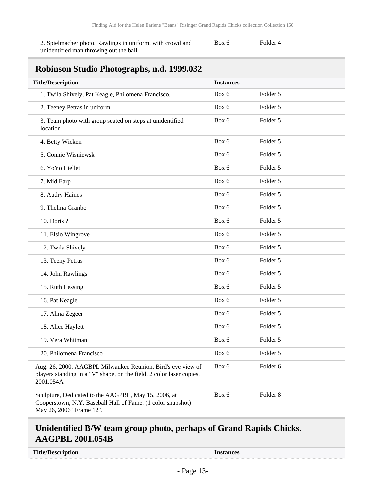2. Spielmacher photo. Rawlings in uniform, with crowd and unidentified man throwing out the ball.

Box 6 Folder 4

## <span id="page-12-0"></span>**Robinson Studio Photographs, n.d. 1999.032**

| <b>Title/Description</b>                                                                                                                         | <b>Instances</b> |                     |
|--------------------------------------------------------------------------------------------------------------------------------------------------|------------------|---------------------|
| 1. Twila Shively, Pat Keagle, Philomena Francisco.                                                                                               | Box 6            | Folder 5            |
| 2. Teeney Petras in uniform                                                                                                                      | Box 6            | Folder 5            |
| 3. Team photo with group seated on steps at unidentified<br>location                                                                             | Box 6            | Folder 5            |
| 4. Betty Wicken                                                                                                                                  | Box 6            | Folder 5            |
| 5. Connie Wisniewsk                                                                                                                              | Box 6            | Folder 5            |
| 6. YoYo Liellet                                                                                                                                  | Box 6            | Folder 5            |
| 7. Mid Earp                                                                                                                                      | Box 6            | Folder 5            |
| 8. Audry Haines                                                                                                                                  | Box 6            | Folder 5            |
| 9. Thelma Granbo                                                                                                                                 | Box 6            | Folder 5            |
| 10. Doris ?                                                                                                                                      | Box 6            | Folder 5            |
| 11. Elsio Wingrove                                                                                                                               | Box 6            | Folder 5            |
| 12. Twila Shively                                                                                                                                | Box 6            | Folder 5            |
| 13. Teeny Petras                                                                                                                                 | Box 6            | Folder 5            |
| 14. John Rawlings                                                                                                                                | Box 6            | Folder 5            |
| 15. Ruth Lessing                                                                                                                                 | Box 6            | Folder 5            |
| 16. Pat Keagle                                                                                                                                   | Box 6            | Folder 5            |
| 17. Alma Zegeer                                                                                                                                  | Box 6            | Folder 5            |
| 18. Alice Haylett                                                                                                                                | Box 6            | Folder 5            |
| 19. Vera Whitman                                                                                                                                 | Box 6            | Folder 5            |
| 20. Philomena Francisco                                                                                                                          | Box 6            | Folder 5            |
| Aug. 26, 2000. AAGBPL Milwaukee Reunion. Bird's eye view of<br>players standing in a "V" shape, on the field. 2 color laser copies.<br>2001.054A | Box 6            | Folder 6            |
| Sculpture, Dedicated to the AAGPBL, May 15, 2006, at<br>Cooperstown, N.Y. Baseball Hall of Fame. (1 color snapshot)<br>May 26, 2006 "Frame 12".  | Box 6            | Folder <sub>8</sub> |

## <span id="page-12-1"></span>**Unidentified B/W team group photo, perhaps of Grand Rapids Chicks. AAGPBL 2001.054B**

**Title/Description Instances**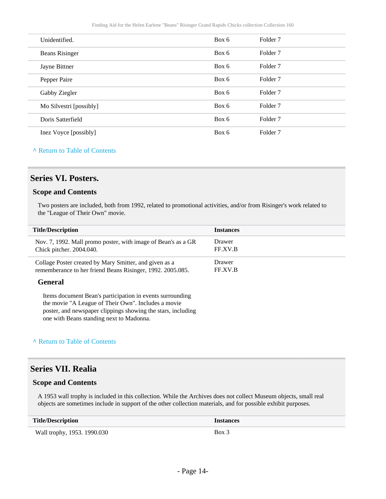| Box 6 | Folder <sub>7</sub> |
|-------|---------------------|
| Box 6 | Folder <sub>7</sub> |
| Box 6 | Folder <sub>7</sub> |
| Box 6 | Folder <sub>7</sub> |
| Box 6 | Folder <sub>7</sub> |
| Box 6 | Folder <sub>7</sub> |
| Box 6 | Folder <sub>7</sub> |
| Box 6 | Folder 7            |
|       |                     |

#### **^** [Return to Table of Contents](#page-1-0)

#### <span id="page-13-0"></span>**Series VI. Posters.**

#### **Scope and Contents**

Two posters are included, both from 1992, related to promotional activities, and/or from Risinger's work related to the "League of Their Own" movie.

| <b>Title/Description</b>                                                                                             | <b>Instances</b>  |
|----------------------------------------------------------------------------------------------------------------------|-------------------|
| Nov. 7, 1992. Mall promo poster, with image of Bean's as a GR<br>Chick pitcher. 2004.040.                            | Drawer<br>FF.XV.B |
| Collage Poster created by Mary Smitter, and given as a<br>rememberance to her friend Beans Risinger, 1992. 2005.085. | Drawer<br>FF.XV.B |
| General                                                                                                              |                   |
| Itams document Reep's perticipation in events surrounding                                                            |                   |

Items document Bean's participation in events surrounding the movie "A League of Their Own". Includes a movie poster, and newspaper clippings showing the stars, including one with Beans standing next to Madonna.

#### **^** [Return to Table of Contents](#page-1-0)

#### <span id="page-13-1"></span>**Series VII. Realia**

#### **Scope and Contents**

A 1953 wall trophy is included in this collection. While the Archives does not collect Museum objects, small real objects are sometimes include in support of the other collection materials, and for possible exhibit purposes.

| <b>Title/Description</b>    | <b>Instances</b> |
|-----------------------------|------------------|
| Wall trophy, 1953. 1990.030 | Box 3            |